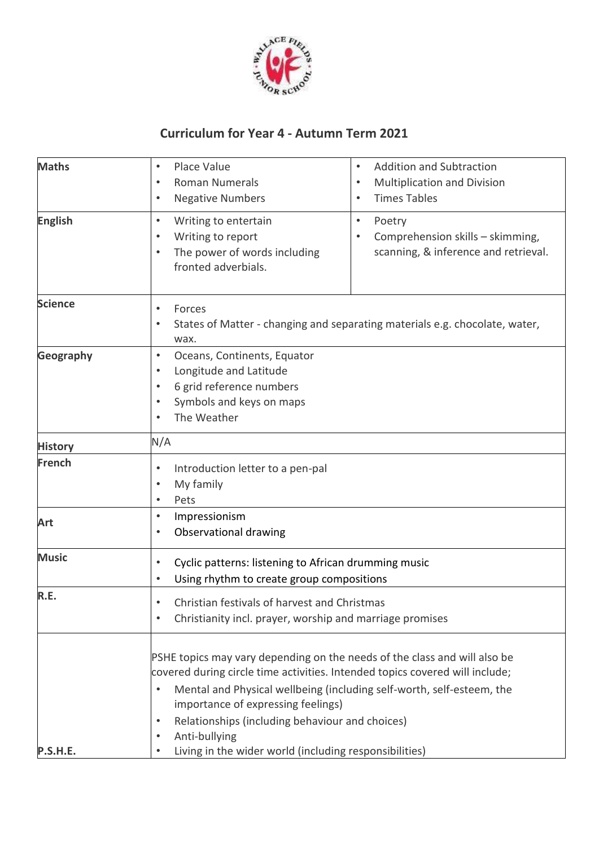

## **Curriculum for Year 4 - Autumn Term 2021**

| <b>Maths</b>    | Place Value<br>$\bullet$<br><b>Roman Numerals</b><br>$\bullet$<br><b>Negative Numbers</b><br>$\bullet$                                                                                                                                                                                                     | <b>Addition and Subtraction</b><br>$\bullet$<br>Multiplication and Division<br>$\bullet$<br><b>Times Tables</b><br>$\bullet$ |
|-----------------|------------------------------------------------------------------------------------------------------------------------------------------------------------------------------------------------------------------------------------------------------------------------------------------------------------|------------------------------------------------------------------------------------------------------------------------------|
| <b>English</b>  | Writing to entertain<br>$\bullet$<br>Writing to report<br>The power of words including<br>fronted adverbials.                                                                                                                                                                                              | $\bullet$<br>Poetry<br>Comprehension skills - skimming,<br>scanning, & inference and retrieval.                              |
| <b>Science</b>  | Forces<br>$\bullet$<br>States of Matter - changing and separating materials e.g. chocolate, water,<br>$\bullet$<br>wax.                                                                                                                                                                                    |                                                                                                                              |
| Geography       | Oceans, Continents, Equator<br>$\bullet$<br>Longitude and Latitude<br>٠<br>6 grid reference numbers<br>$\bullet$<br>Symbols and keys on maps<br>$\bullet$<br>The Weather                                                                                                                                   |                                                                                                                              |
| <b>History</b>  | N/A                                                                                                                                                                                                                                                                                                        |                                                                                                                              |
| <b>French</b>   | Introduction letter to a pen-pal<br>$\bullet$<br>My family<br>$\bullet$<br>Pets<br>$\bullet$                                                                                                                                                                                                               |                                                                                                                              |
| Art             | Impressionism<br>$\bullet$<br>Observational drawing<br>٠                                                                                                                                                                                                                                                   |                                                                                                                              |
| <b>Music</b>    | Cyclic patterns: listening to African drumming music<br>$\bullet$<br>Using rhythm to create group compositions<br>$\bullet$                                                                                                                                                                                |                                                                                                                              |
| R.E.            | Christian festivals of harvest and Christmas<br>٠<br>Christianity incl. prayer, worship and marriage promises<br>$\bullet$                                                                                                                                                                                 |                                                                                                                              |
|                 | PSHE topics may vary depending on the needs of the class and will also be<br>covered during circle time activities. Intended topics covered will include;<br>$\bullet$<br>importance of expressing feelings)<br>Relationships (including behaviour and choices)<br>$\bullet$<br>Anti-bullying<br>$\bullet$ | Mental and Physical wellbeing (including self-worth, self-esteem, the                                                        |
| <b>P.S.H.E.</b> | Living in the wider world (including responsibilities)<br>$\bullet$                                                                                                                                                                                                                                        |                                                                                                                              |